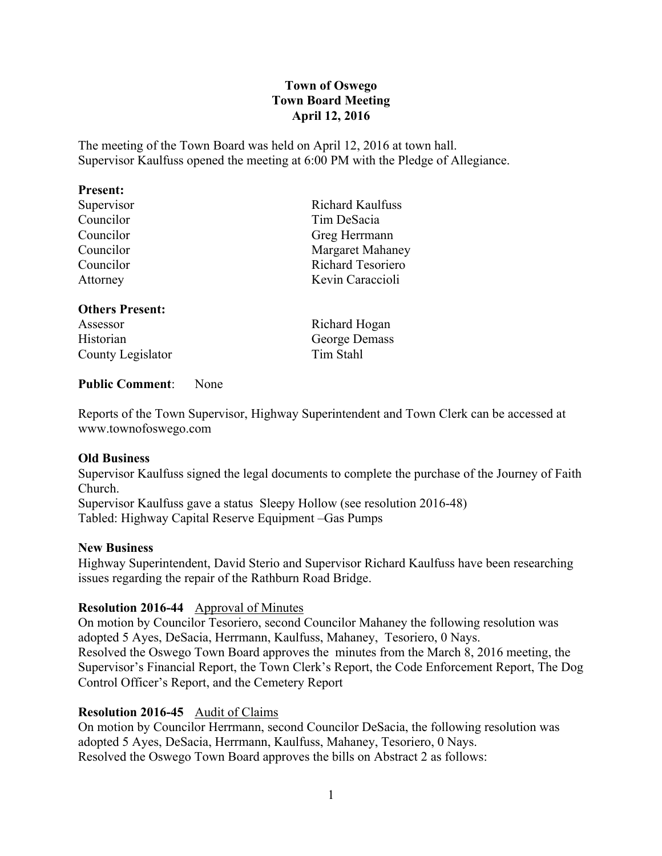## **Town of Oswego Town Board Meeting April 12, 2016**

The meeting of the Town Board was held on April 12, 2016 at town hall. Supervisor Kaulfuss opened the meeting at 6:00 PM with the Pledge of Allegiance.

#### **Present:**

#### **Others Present:**

Assessor Richard Hogan Historian George Demass County Legislator Tim Stahl

Supervisor Richard Kaulfuss Councilor Tim DeSacia Councilor Greg Herrmann Councilor Margaret Mahaney Councilor Richard Tesoriero Attorney Kevin Caraccioli

## **Public Comment**: None

Reports of the Town Supervisor, Highway Superintendent and Town Clerk can be accessed at www.townofoswego.com

#### **Old Business**

Supervisor Kaulfuss signed the legal documents to complete the purchase of the Journey of Faith Church.

Supervisor Kaulfuss gave a status Sleepy Hollow (see resolution 2016-48) Tabled: Highway Capital Reserve Equipment –Gas Pumps

#### **New Business**

Highway Superintendent, David Sterio and Supervisor Richard Kaulfuss have been researching issues regarding the repair of the Rathburn Road Bridge.

#### **Resolution 2016-44** Approval of Minutes

On motion by Councilor Tesoriero, second Councilor Mahaney the following resolution was adopted 5 Ayes, DeSacia, Herrmann, Kaulfuss, Mahaney, Tesoriero, 0 Nays. Resolved the Oswego Town Board approves the minutes from the March 8, 2016 meeting, the Supervisor's Financial Report, the Town Clerk's Report, the Code Enforcement Report, The Dog Control Officer's Report, and the Cemetery Report

#### **Resolution 2016-45** Audit of Claims

On motion by Councilor Herrmann, second Councilor DeSacia, the following resolution was adopted 5 Ayes, DeSacia, Herrmann, Kaulfuss, Mahaney, Tesoriero, 0 Nays. Resolved the Oswego Town Board approves the bills on Abstract 2 as follows: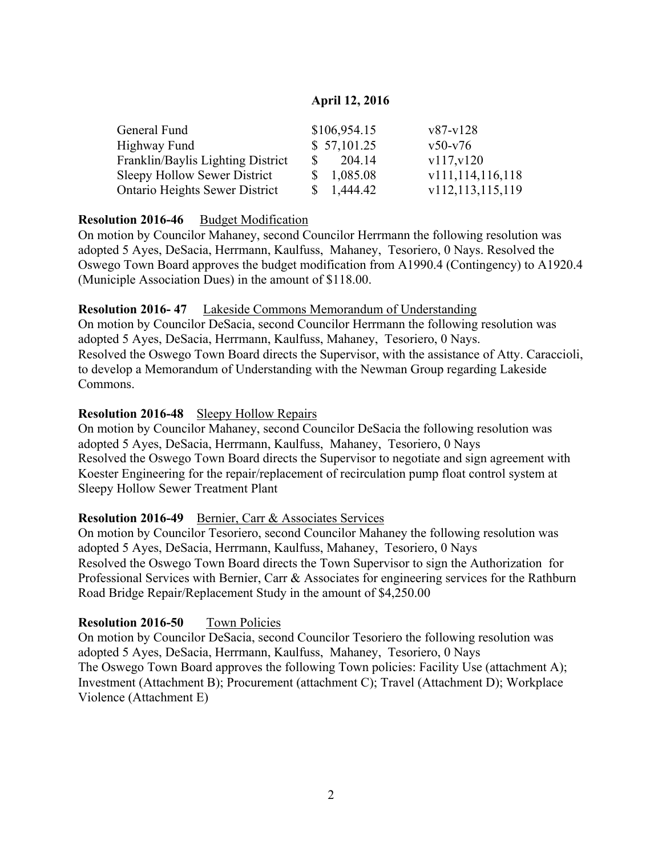# **April 12, 2016**

| General Fund                          | \$106,954.15           | $v87-v128$       |
|---------------------------------------|------------------------|------------------|
| Highway Fund                          | \$57,101.25            | $v50-v76$        |
| Franklin/Baylis Lighting District     | 204.14<br><sup>S</sup> | v117, v120       |
| Sleepy Hollow Sewer District          | \$1,085.08             | v111,114,116,118 |
| <b>Ontario Heights Sewer District</b> | $\frac{1,444.42}{2}$   | v112,113,115,119 |

# **Resolution 2016-46** Budget Modification

On motion by Councilor Mahaney, second Councilor Herrmann the following resolution was adopted 5 Ayes, DeSacia, Herrmann, Kaulfuss, Mahaney, Tesoriero, 0 Nays. Resolved the Oswego Town Board approves the budget modification from A1990.4 (Contingency) to A1920.4 (Municiple Association Dues) in the amount of \$118.00.

## **Resolution 2016- 47** Lakeside Commons Memorandum of Understanding

On motion by Councilor DeSacia, second Councilor Herrmann the following resolution was adopted 5 Ayes, DeSacia, Herrmann, Kaulfuss, Mahaney, Tesoriero, 0 Nays. Resolved the Oswego Town Board directs the Supervisor, with the assistance of Atty. Caraccioli, to develop a Memorandum of Understanding with the Newman Group regarding Lakeside Commons.

## **Resolution 2016-48** Sleepy Hollow Repairs

On motion by Councilor Mahaney, second Councilor DeSacia the following resolution was adopted 5 Ayes, DeSacia, Herrmann, Kaulfuss, Mahaney, Tesoriero, 0 Nays Resolved the Oswego Town Board directs the Supervisor to negotiate and sign agreement with Koester Engineering for the repair/replacement of recirculation pump float control system at Sleepy Hollow Sewer Treatment Plant

## **Resolution 2016-49** Bernier, Carr & Associates Services

On motion by Councilor Tesoriero, second Councilor Mahaney the following resolution was adopted 5 Ayes, DeSacia, Herrmann, Kaulfuss, Mahaney, Tesoriero, 0 Nays Resolved the Oswego Town Board directs the Town Supervisor to sign the Authorization for Professional Services with Bernier, Carr & Associates for engineering services for the Rathburn Road Bridge Repair/Replacement Study in the amount of \$4,250.00

## **Resolution 2016-50** Town Policies

On motion by Councilor DeSacia, second Councilor Tesoriero the following resolution was adopted 5 Ayes, DeSacia, Herrmann, Kaulfuss, Mahaney, Tesoriero, 0 Nays The Oswego Town Board approves the following Town policies: Facility Use (attachment A); Investment (Attachment B); Procurement (attachment C); Travel (Attachment D); Workplace Violence (Attachment E)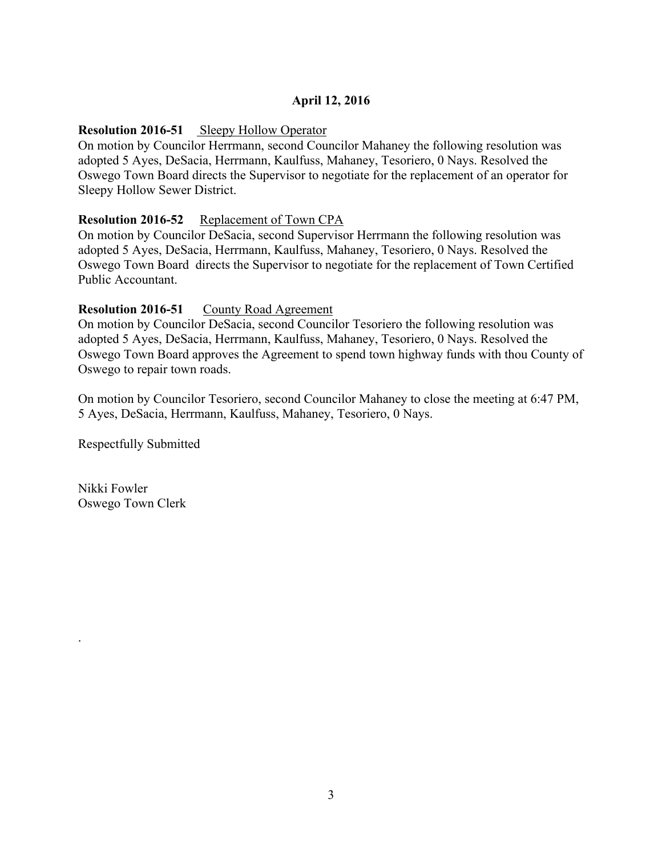# **April 12, 2016**

### **Resolution 2016-51** Sleepy Hollow Operator

On motion by Councilor Herrmann, second Councilor Mahaney the following resolution was adopted 5 Ayes, DeSacia, Herrmann, Kaulfuss, Mahaney, Tesoriero, 0 Nays. Resolved the Oswego Town Board directs the Supervisor to negotiate for the replacement of an operator for Sleepy Hollow Sewer District.

### **Resolution 2016-52** Replacement of Town CPA

On motion by Councilor DeSacia, second Supervisor Herrmann the following resolution was adopted 5 Ayes, DeSacia, Herrmann, Kaulfuss, Mahaney, Tesoriero, 0 Nays. Resolved the Oswego Town Board directs the Supervisor to negotiate for the replacement of Town Certified Public Accountant.

### **Resolution 2016-51** County Road Agreement

On motion by Councilor DeSacia, second Councilor Tesoriero the following resolution was adopted 5 Ayes, DeSacia, Herrmann, Kaulfuss, Mahaney, Tesoriero, 0 Nays. Resolved the Oswego Town Board approves the Agreement to spend town highway funds with thou County of Oswego to repair town roads.

On motion by Councilor Tesoriero, second Councilor Mahaney to close the meeting at 6:47 PM, 5 Ayes, DeSacia, Herrmann, Kaulfuss, Mahaney, Tesoriero, 0 Nays.

Respectfully Submitted

Nikki Fowler Oswego Town Clerk

.